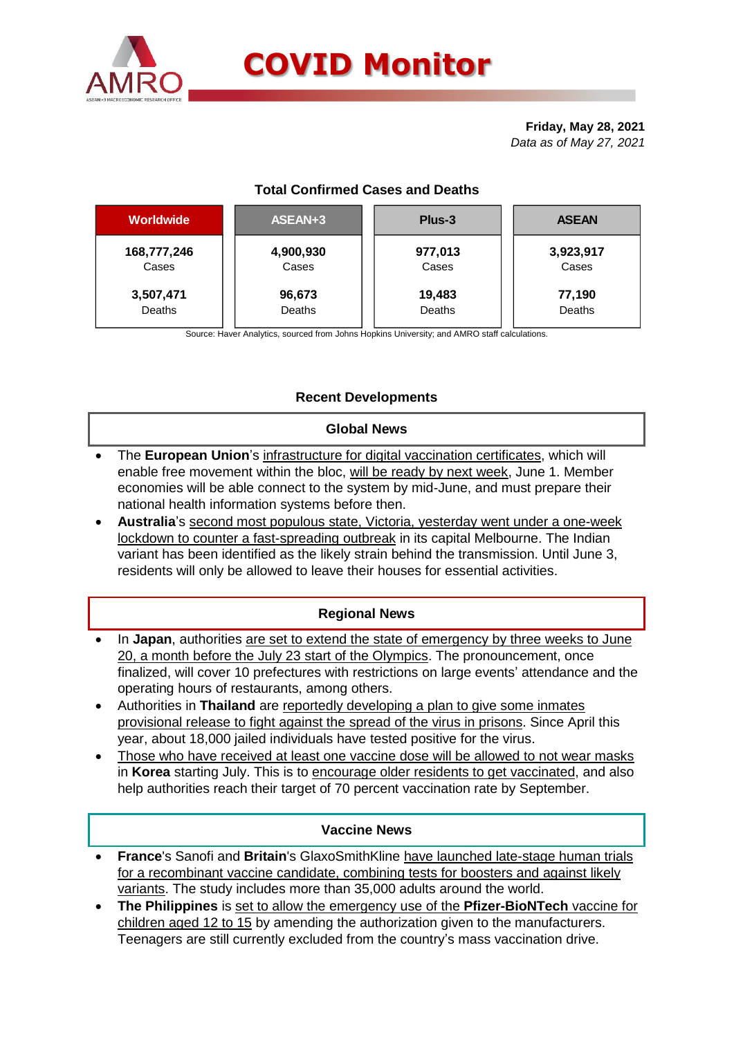

# **COVID Monitor**

**Friday, May 28, 2021** *Data as of May 27, 2021*

# **Total Confirmed Cases and Deaths**

| <b>Worldwide</b> | ASEAN+3   | Plus-3  | <b>ASEAN</b> |  |  |
|------------------|-----------|---------|--------------|--|--|
| 168,777,246      | 4,900,930 | 977,013 | 3,923,917    |  |  |
| Cases            | Cases     | Cases   | Cases        |  |  |
| 3,507,471        | 96,673    | 19,483  | 77,190       |  |  |
| Deaths           | Deaths    | Deaths  | Deaths       |  |  |

Source: Haver Analytics, sourced from Johns Hopkins University; and AMRO staff calculations.

# **Recent Developments**

#### **Global News**

- The **European Union**'s infrastructure for digital vaccination certificates, which will enable free movement within the bloc, will be ready by next week, June 1. Member economies will be able connect to the system by mid-June, and must prepare their national health information systems before then.
- **Australia**'s second most populous state, Victoria, yesterday went under a one-week lockdown to counter a fast-spreading outbreak in its capital Melbourne. The Indian variant has been identified as the likely strain behind the transmission. Until June 3, residents will only be allowed to leave their houses for essential activities.

## **Regional News**

- In **Japan**, authorities are set to extend the state of emergency by three weeks to June 20, a month before the July 23 start of the Olympics. The pronouncement, once finalized, will cover 10 prefectures with restrictions on large events' attendance and the operating hours of restaurants, among others.
- Authorities in **Thailand** are reportedly developing a plan to give some inmates provisional release to fight against the spread of the virus in prisons. Since April this year, about 18,000 jailed individuals have tested positive for the virus.
- Those who have received at least one vaccine dose will be allowed to not wear masks in **Korea** starting July. This is to encourage older residents to get vaccinated, and also help authorities reach their target of 70 percent vaccination rate by September.

#### **Vaccine News**

- **France**'s Sanofi and **Britain**'s GlaxoSmithKline have launched late-stage human trials for a recombinant vaccine candidate, combining tests for boosters and against likely variants. The study includes more than 35,000 adults around the world.
- **The Philippines** is set to allow the emergency use of the **Pfizer-BioNTech** vaccine for children aged 12 to 15 by amending the authorization given to the manufacturers. Teenagers are still currently excluded from the country's mass vaccination drive.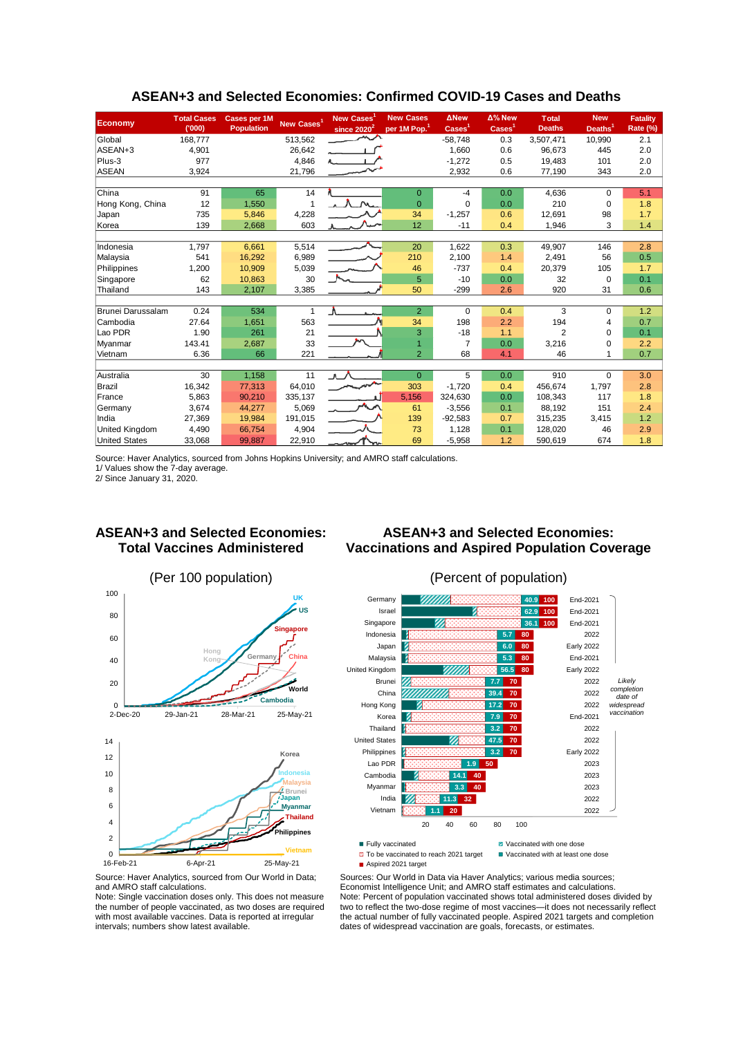| <b>Economy</b>                                | <b>Total Cases</b><br>(000) | Cases per 1M<br>Population | New Cases <sup>1</sup> | New Cases <sup>1</sup><br>since $2020^2$ | <b>New Cases</b><br>per 1M Pop. | <b>ANew</b><br>$\overline{\text{Cases}}^1$ | Δ% New<br>$\overline{\text{Cases}}^1$ | <b>Total</b><br><b>Deaths</b> | <b>New</b><br>Deaths <sup>1</sup> | <b>Fatality</b><br>Rate (%) |
|-----------------------------------------------|-----------------------------|----------------------------|------------------------|------------------------------------------|---------------------------------|--------------------------------------------|---------------------------------------|-------------------------------|-----------------------------------|-----------------------------|
| Global                                        | 168,777                     |                            | 513,562                |                                          |                                 | $-58,748$                                  | 0.3                                   | 3,507,471                     | 10,990                            | 2.1                         |
| ASEAN+3                                       | 4,901                       |                            | 26,642                 |                                          |                                 | 1,660                                      | 0.6                                   | 96.673                        | 445                               | 2.0                         |
| Plus-3                                        | 977                         |                            | 4,846                  |                                          |                                 | $-1,272$                                   | 0.5                                   | 19.483                        | 101                               | 2.0                         |
| <b>ASEAN</b>                                  | 3,924                       |                            | 21,796                 |                                          |                                 | 2,932                                      | 0.6                                   | 77,190                        | 343                               | 2.0                         |
|                                               |                             |                            |                        |                                          |                                 |                                            |                                       |                               |                                   |                             |
| China                                         | 91                          | 65                         | 14                     |                                          | $\mathbf{0}$                    | $-4$                                       | 0.0                                   | 4,636                         | $\Omega$                          | 5.1                         |
| Hong Kong, China                              | 12                          | 1,550                      | 1                      |                                          | $\overline{0}$                  | $\Omega$                                   | 0.0                                   | 210                           | $\mathbf 0$                       | 1.8                         |
| Japan                                         | 735                         | 5,846                      | 4,228                  |                                          | 34                              | $-1,257$                                   | 0.6                                   | 12,691                        | 98                                | 1.7                         |
| Korea                                         | 139                         | 2,668                      | 603                    |                                          | 12                              | $-11$                                      | 0.4                                   | 1,946                         | 3                                 | 1.4                         |
|                                               |                             |                            |                        |                                          |                                 |                                            |                                       |                               |                                   |                             |
| Indonesia                                     | 1,797                       | 6,661                      | 5,514                  |                                          | 20                              | 1,622                                      | 0.3                                   | 49,907                        | 146                               | 2.8                         |
| Malaysia                                      | 541                         | 16,292                     | 6,989                  |                                          | 210                             | 2,100                                      | 1.4                                   | 2,491                         | 56                                | 0.5                         |
| Philippines                                   | 1,200                       | 10,909                     | 5,039                  |                                          | 46                              | $-737$                                     | 0.4                                   | 20.379                        | 105                               | 1.7                         |
| Singapore                                     | 62                          | 10.863                     | 30                     |                                          | 5                               | $-10$                                      | 0.0                                   | 32                            | $\Omega$                          | 0.1                         |
| Thailand                                      | 143                         | 2,107                      | 3,385                  |                                          | 50                              | $-299$                                     | 2.6                                   | 920                           | 31                                | 0.6                         |
|                                               |                             |                            |                        |                                          |                                 |                                            |                                       |                               |                                   |                             |
| Brunei Darussalam                             | 0.24                        | 534                        | $\mathbf{1}$           | A                                        | $\overline{2}$                  | $\Omega$                                   | 0.4                                   | 3                             | $\Omega$                          | 1.2                         |
| Cambodia                                      | 27.64                       | 1,651                      | 563                    |                                          | 34                              | 198                                        | 2.2                                   | 194                           | $\overline{4}$                    | 0.7                         |
| Lao PDR                                       | 1.90                        | 261                        | 21                     | $\sim$                                   | 3                               | $-18$                                      | 1.1                                   | $\overline{2}$                | $\Omega$                          | 0.1                         |
| Myanmar                                       | 143.41                      | 2,687                      | 33                     |                                          | 1                               | 7                                          | 0.0                                   | 3,216                         | 0                                 | 2.2                         |
| Vietnam                                       | 6.36                        | 66                         | 221                    |                                          | $\overline{2}$                  | 68                                         | 4.1                                   | 46                            |                                   | 0.7                         |
|                                               |                             |                            |                        |                                          |                                 |                                            |                                       |                               |                                   |                             |
| Australia                                     | 30                          | 1,158                      | 11                     | ⋏ノ                                       | $\Omega$                        | 5                                          | 0.0                                   | 910                           | $\Omega$                          | 3.0                         |
| Brazil                                        | 16,342                      | 77,313                     | 64,010                 |                                          | 303                             | $-1.720$                                   | 0.4                                   | 456.674                       | 1,797                             | 2.8                         |
| France                                        | 5,863                       | 90,210                     | 335,137                |                                          | 5,156                           | 324,630                                    | 0.0                                   | 108.343<br>88.192             | 117<br>151                        | 1.8                         |
| Germany<br>India                              | 3,674                       | 44,277                     | 5,069<br>191,015       |                                          | 61<br>139                       | $-3,556$<br>$-92,583$                      | 0.1                                   | 315,235                       |                                   | 2.4<br>1.2                  |
|                                               | 27,369                      | 19,984                     |                        |                                          |                                 |                                            | 0.7<br>0.1                            | 128.020                       | 3,415<br>46                       | 2.9                         |
| <b>United Kingdom</b><br><b>United States</b> | 4,490<br>33,068             | 66,754                     | 4,904<br>22,910        |                                          | 73<br>69                        | 1,128<br>$-5,958$                          | 1.2                                   | 590,619                       | 674                               | 1.8                         |
|                                               |                             | 99,887                     |                        |                                          |                                 |                                            |                                       |                               |                                   |                             |

## **ASEAN+3 and Selected Economies: Confirmed COVID-19 Cases and Deaths**

Source: Haver Analytics, sourced from Johns Hopkins University; and AMRO staff calculations.

1/ Values show the 7-day average.

2/ Since January 31, 2020.

#### **ASEAN+3 and Selected Economies: Total Vaccines Administered**









 $\overline{u}$  To be vaccinated to reach 2021 target

■ Aspired 2021 target

Sources: Our World in Data via Haver Analytics; various media sources; Economist Intelligence Unit; and AMRO staff estimates and calculations. Note: Percent of population vaccinated shows total administered doses divided by two to reflect the two-dose regime of most vaccines—it does not necessarily reflect the actual number of fully vaccinated people. Aspired 2021 targets and completion dates of widespread vaccination are goals, forecasts, or estimates.

and AMRO staff calculations. Note: Single vaccination doses only. This does not measure the number of people vaccinated, as two doses are required with most available vaccines. Data is reported at irregular

intervals; numbers show latest available.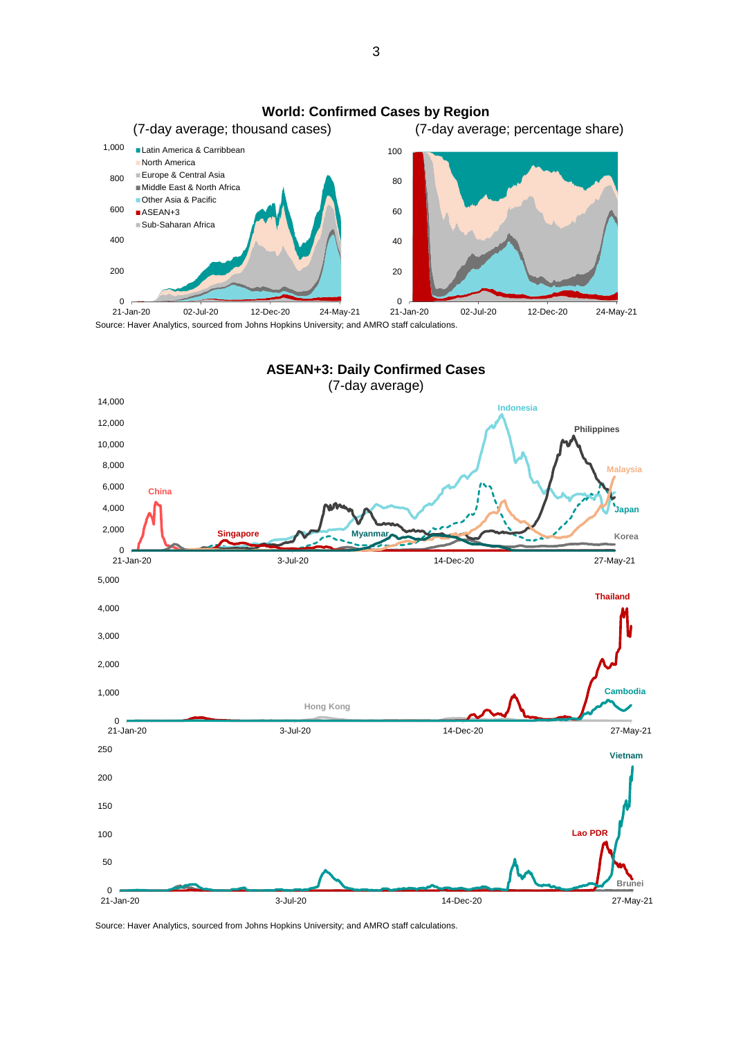



Source: Haver Analytics, sourced from Johns Hopkins University; and AMRO staff calculations.

3